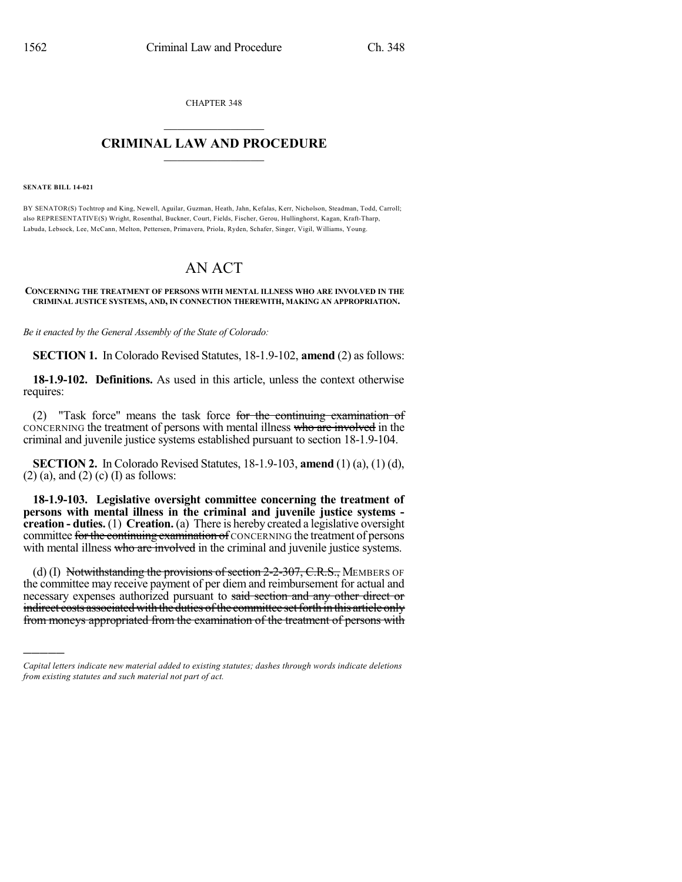CHAPTER 348  $\mathcal{L}_\text{max}$  . The set of the set of the set of the set of the set of the set of the set of the set of the set of the set of the set of the set of the set of the set of the set of the set of the set of the set of the set

## **CRIMINAL LAW AND PROCEDURE**  $\frac{1}{2}$  ,  $\frac{1}{2}$  ,  $\frac{1}{2}$  ,  $\frac{1}{2}$  ,  $\frac{1}{2}$  ,  $\frac{1}{2}$  ,  $\frac{1}{2}$

**SENATE BILL 14-021**

)))))

BY SENATOR(S) Tochtrop and King, Newell, Aguilar, Guzman, Heath, Jahn, Kefalas, Kerr, Nicholson, Steadman, Todd, Carroll; also REPRESENTATIVE(S) Wright, Rosenthal, Buckner, Court, Fields, Fischer, Gerou, Hullinghorst, Kagan, Kraft-Tharp, Labuda, Lebsock, Lee, McCann, Melton, Pettersen, Primavera, Priola, Ryden, Schafer, Singer, Vigil, Williams, Young.

## AN ACT

## **CONCERNING THE TREATMENT OF PERSONS WITH MENTAL ILLNESS WHO ARE INVOLVED IN THE CRIMINAL JUSTICE SYSTEMS, AND, IN CONNECTION THEREWITH, MAKING AN APPROPRIATION.**

*Be it enacted by the General Assembly of the State of Colorado:*

**SECTION 1.** In Colorado Revised Statutes, 18-1.9-102, **amend** (2) as follows:

**18-1.9-102. Definitions.** As used in this article, unless the context otherwise requires:

(2) "Task force" means the task force for the continuing examination of CONCERNING the treatment of persons with mental illness who are involved in the criminal and juvenile justice systems established pursuant to section 18-1.9-104.

**SECTION 2.** In Colorado Revised Statutes, 18-1.9-103, **amend** (1) (a), (1) (d),  $(2)$  (a), and  $(2)$  (c) (I) as follows:

**18-1.9-103. Legislative oversight committee concerning the treatment of persons with mental illness in the criminal and juvenile justice systems creation - duties.** (1) **Creation.** (a) There is hereby created a legislative oversight committee for the continuing examination of CONCERNING the treatment of persons with mental illness who are involved in the criminal and juvenile justice systems.

(d) (I) Notwithstanding the provisions of section  $2-2-307$ , C.R.S., MEMBERS OF the committee may receive payment of per diem and reimbursement for actual and necessary expenses authorized pursuant to said section and any other direct or indirect costs associated with the duties of the committee set forth in this article only from moneys appropriated from the examination of the treatment of persons with

*Capital letters indicate new material added to existing statutes; dashes through words indicate deletions from existing statutes and such material not part of act.*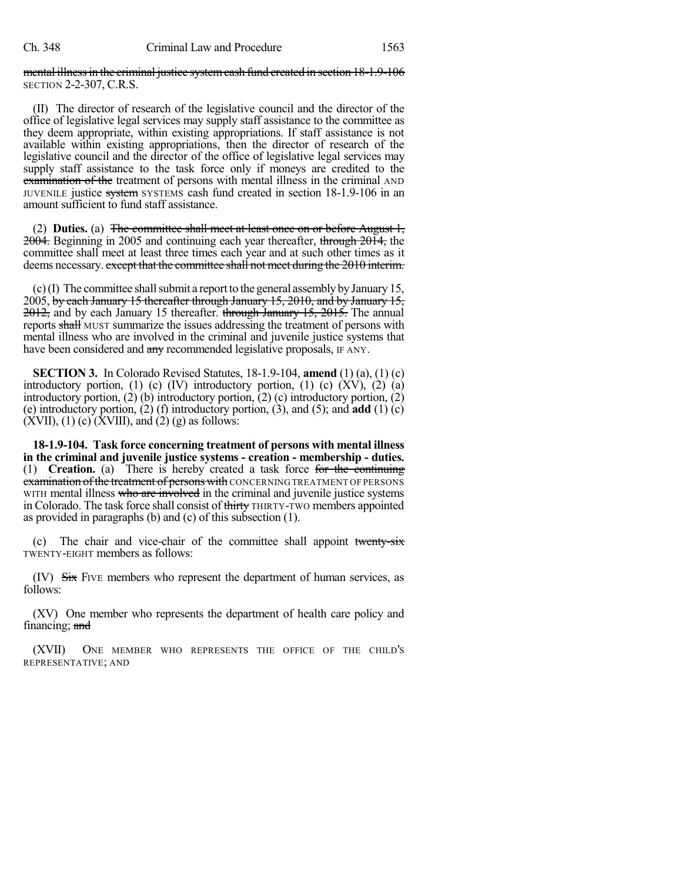## mental illness in the criminal justice system cash fund created in section 18-1.9-106 SECTION 2-2-307, C.R.S.

(II) The director of research of the legislative council and the director of the office of legislative legal services may supply staff assistance to the committee as they deem appropriate, within existing appropriations. If staff assistance is not available within existing appropriations, then the director of research of the legislative council and the director of the office of legislative legal services may supply staff assistance to the task force only if moneys are credited to the examination of the treatment of persons with mental illness in the criminal AND JUVENILE justice system SYSTEMS cash fund created in section 18-1.9-106 in an amount sufficient to fund staff assistance.

(2) **Duties.** (a) The committee shall meet at least once on or before August 1, 2004. Beginning in 2005 and continuing each year thereafter, through 2014, the committee shall meet at least three times each year and at such other times as it deems necessary. except that the committee shall not meet during the 2010 interim.

 $(c)$  (I) The committee shall submit a report to the general assembly by January 15, 2005, by each January 15 thereafter through January 15, 2010, and by January 15, 2012, and by each January 15 thereafter. through January 15, 2015. The annual reports shall MUST summarize the issues addressing the treatment of persons with mental illness who are involved in the criminal and juvenile justice systems that have been considered and any recommended legislative proposals, IF ANY.

**SECTION 3.** In Colorado Revised Statutes, 18-1.9-104, **amend** (1) (a), (1) (c) introductory portion,  $(1)$   $(c)$   $(IV)$  introductory portion,  $(1)$   $(c)$   $(XV)$ ,  $(2)$   $(a)$ introductory portion, (2) (b) introductory portion, (2) (c) introductory portion, (2) (e) introductory portion, (2) (f) introductory portion, (3), and (5); and **add** (1) (c)  $(XVII)$ , (1) (c)  $(XVIII)$ , and (2) (g) as follows:

**18-1.9-104. Task force concerning treatment of persons with mental illness in the criminal and juvenile justice systems - creation - membership - duties.** (1) **Creation.** (a) There is hereby created a task force for the continuing examination of the treatment of persons with CONCERNING TREATMENT OF PERSONS WITH mental illness who are involved in the criminal and juvenile justice systems in Colorado. The task force shall consist of thirty THIRTY-TWO members appointed as provided in paragraphs (b) and (c) of this subsection (1).

(c) The chair and vice-chair of the committee shall appoint twenty-six TWENTY-EIGHT members as follows:

 $(IV)$  Six FIVE members who represent the department of human services, as follows:

(XV) One member who represents the department of health care policy and financing; and

(XVII) ONE MEMBER WHO REPRESENTS THE OFFICE OF THE CHILD'S REPRESENTATIVE; AND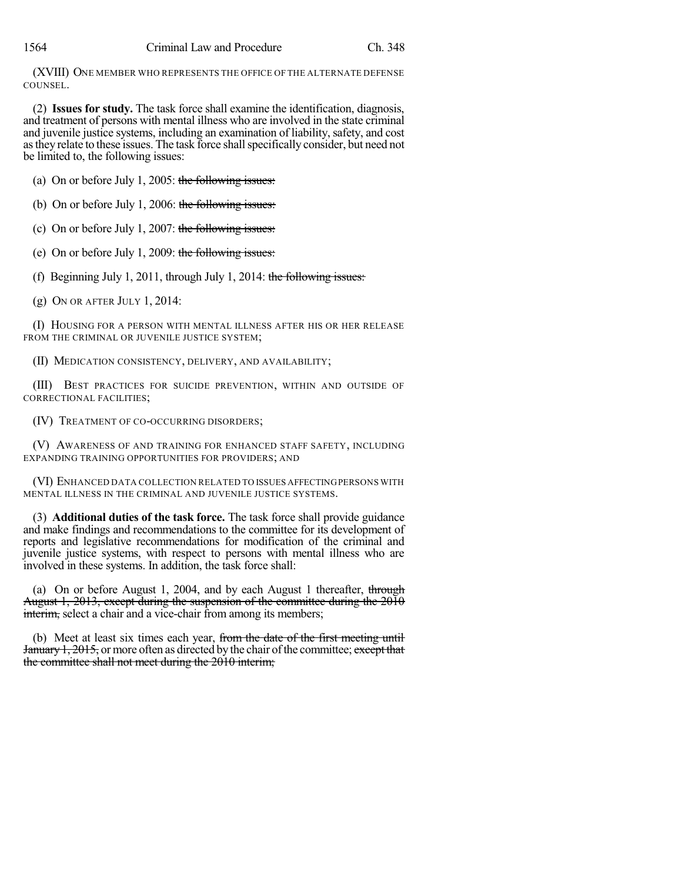(XVIII) ONE MEMBER WHO REPRESENTS THE OFFICE OF THE ALTERNATE DEFENSE COUNSEL.

(2) **Issues for study.** The task force shall examine the identification, diagnosis, and treatment of persons with mental illness who are involved in the state criminal and juvenile justice systems, including an examination of liability, safety, and cost as they relate to these issues. The task force shall specifically consider, but need not be limited to, the following issues:

(a) On or before July 1, 2005: the following issues:

(b) On or before July 1, 2006: the following issues:

(c) On or before July 1, 2007: the following issues:

(e) On or before July 1, 2009: the following issues:

(f) Beginning July 1, 2011, through July 1, 2014: the following issues:

(g) ON OR AFTER JULY 1, 2014:

(I) HOUSING FOR A PERSON WITH MENTAL ILLNESS AFTER HIS OR HER RELEASE FROM THE CRIMINAL OR JUVENILE JUSTICE SYSTEM;

(II) MEDICATION CONSISTENCY, DELIVERY, AND AVAILABILITY;

(III) BEST PRACTICES FOR SUICIDE PREVENTION, WITHIN AND OUTSIDE OF CORRECTIONAL FACILITIES;

(IV) TREATMENT OF CO-OCCURRING DISORDERS;

(V) AWARENESS OF AND TRAINING FOR ENHANCED STAFF SAFETY, INCLUDING EXPANDING TRAINING OPPORTUNITIES FOR PROVIDERS; AND

(VI) ENHANCED DATA COLLECTION RELATED TO ISSUES AFFECTINGPERSONS WITH MENTAL ILLNESS IN THE CRIMINAL AND JUVENILE JUSTICE SYSTEMS.

(3) **Additional duties of the task force.** The task force shall provide guidance and make findings and recommendations to the committee for its development of reports and legislative recommendations for modification of the criminal and juvenile justice systems, with respect to persons with mental illness who are involved in these systems. In addition, the task force shall:

(a) On or before August 1, 2004, and by each August 1 thereafter, through August 1, 2013, except during the suspension of the committee during the 2010 interim, select a chair and a vice-chair from among its members;

(b) Meet at least six times each year, from the date of the first meeting until January 1, 2015, or more often as directed by the chair of the committee; except that the committee shall not meet during the 2010 interim;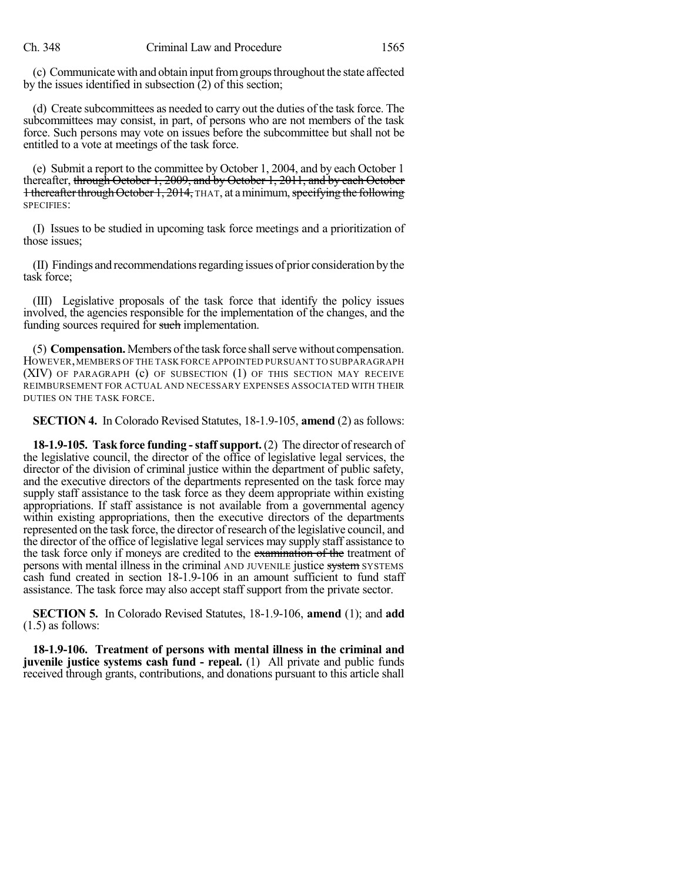(c) Communicate with and obtain input from groups throughout the state affected by the issues identified in subsection  $(2)$  of this section;

(d) Create subcommittees as needed to carry out the duties of the task force. The subcommittees may consist, in part, of persons who are not members of the task force. Such persons may vote on issues before the subcommittee but shall not be entitled to a vote at meetings of the task force.

(e) Submit a report to the committee by October 1, 2004, and by each October 1 thereafter, through October 1, 2009, and by October 1, 2011, and by each October 1 thereafter through October 1, 2014, THAT, at a minimum, specifying the following SPECIFIES:

(I) Issues to be studied in upcoming task force meetings and a prioritization of those issues;

(II) Findings and recommendationsregarding issues of prior consideration bythe task force;

(III) Legislative proposals of the task force that identify the policy issues involved, the agencies responsible for the implementation of the changes, and the funding sources required for such implementation.

(5) **Compensation.** Members ofthe task force shallserve without compensation. HOWEVER,MEMBERS OF THE TASK FORCE APPOINTED PURSUANT TO SUBPARAGRAPH (XIV) OF PARAGRAPH (c) OF SUBSECTION (1) OF THIS SECTION MAY RECEIVE REIMBURSEMENT FOR ACTUAL AND NECESSARY EXPENSES ASSOCIATED WITH THEIR DUTIES ON THE TASK FORCE.

**SECTION 4.** In Colorado Revised Statutes, 18-1.9-105, **amend** (2) as follows:

**18-1.9-105. Task force funding -staffsupport.** (2) The director ofresearch of the legislative council, the director of the office of legislative legal services, the director of the division of criminal justice within the department of public safety, and the executive directors of the departments represented on the task force may supply staff assistance to the task force as they deem appropriate within existing appropriations. If staff assistance is not available from a governmental agency within existing appropriations, then the executive directors of the departments represented on the task force, the director of research of the legislative council, and the director of the office of legislative legal services may supply staff assistance to the task force only if moneys are credited to the examination of the treatment of persons with mental illness in the criminal AND JUVENILE justice system SYSTEMS cash fund created in section 18-1.9-106 in an amount sufficient to fund staff assistance. The task force may also accept staff support from the private sector.

**SECTION 5.** In Colorado Revised Statutes, 18-1.9-106, **amend** (1); and **add** (1.5) as follows:

**18-1.9-106. Treatment of persons with mental illness in the criminal and juvenile justice systems cash fund - repeal.** (1) All private and public funds received through grants, contributions, and donations pursuant to this article shall